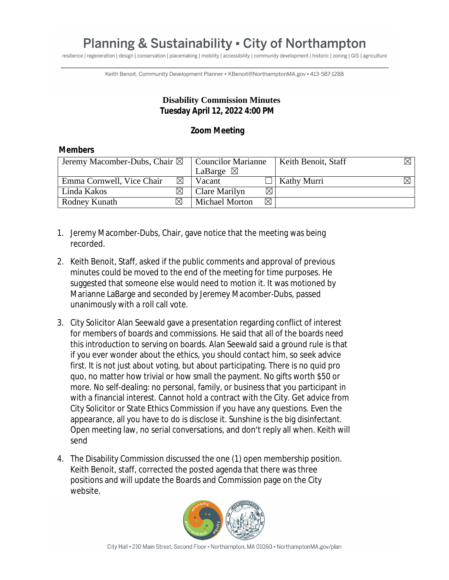## **Planning & Sustainability - City of Northampton**

resilience | regeneration | design | conservation | placemaking | mobility | accessibility | community development | historic | zoning | GIS | agriculture

Keith Benoit, Community Development Planner · KBenoit@NorthamptonMA.gov - 413-587-1288

## **Disability Commission Minutes Tuesday April 12, 2022 4:00 PM**

## **Zoom Meeting**

## **Members**

| Jeremy Macomber-Dubs, Chair $\boxtimes$ |             | <b>Councilor Marianne</b> |             | Keith Benoit, Staff | $\boxtimes$ 1 |
|-----------------------------------------|-------------|---------------------------|-------------|---------------------|---------------|
|                                         |             | LaBarge $\boxtimes$       |             |                     |               |
| Emma Cornwell, Vice Chair               | $\boxtimes$ | Vacant                    |             | Kathy Murri         |               |
| Linda Kakos                             |             | Clare Marilyn             | $\boxtimes$ |                     |               |
| Rodney Kunath                           | M           | <b>Michael Morton</b>     | $\boxtimes$ |                     |               |

- 1. Jeremy Macomber-Dubs, Chair, gave notice that the meeting was being recorded.
- 2. Keith Benoit, Staff, asked if the public comments and approval of previous minutes could be moved to the end of the meeting for time purposes. He suggested that someone else would need to motion it. It was motioned by Marianne LaBarge and seconded by Jeremey Macomber-Dubs, passed unanimously with a roll call vote.
- 3. City Solicitor Alan Seewald gave a presentation regarding conflict of interest for members of boards and commissions. He said that all of the boards need this introduction to serving on boards. Alan Seewald said a ground rule is that if you ever wonder about the ethics, you should contact him, so seek advice first. It is not just about voting, but about participating. There is no quid pro quo, no matter how trivial or how small the payment. No gifts worth \$50 or more. No self-dealing: no personal, family, or business that you participant in with a financial interest. Cannot hold a contract with the City. Get advice from City Solicitor or State Ethics Commission if you have any questions. Even the appearance, all you have to do is disclose it. Sunshine is the big disinfectant. Open meeting law, no serial conversations, and don't reply all when. Keith will send
- 4. The Disability Commission discussed the one (1) open membership position. Keith Benoit, staff, corrected the posted agenda that there was three positions and will update the Boards and Commission page on the City website.

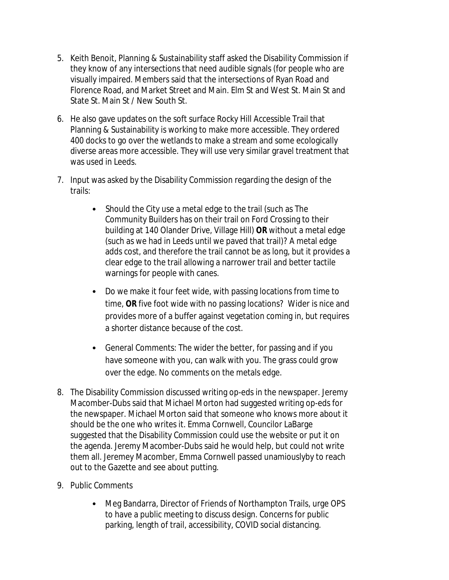- 5. Keith Benoit, Planning & Sustainability staff asked the Disability Commission if they know of any intersections that need audible signals (for people who are visually impaired. Members said that the intersections of Ryan Road and Florence Road, and Market Street and Main. Elm St and West St. Main St and State St. Main St / New South St.
- 6. He also gave updates on the soft surface Rocky Hill Accessible Trail that Planning & Sustainability is working to make more accessible. They ordered 400 docks to go over the wetlands to make a stream and some ecologically diverse areas more accessible. They will use very similar gravel treatment that was used in Leeds.
- 7. Input was asked by the Disability Commission regarding the design of the trails:
	- Should the City use a metal edge to the trail (such as The Community Builders has on their trail on Ford Crossing to their building at 140 Olander Drive, Village Hill) **OR** without a metal edge (such as we had in Leeds until we paved that trail)? A metal edge adds cost, and therefore the trail cannot be as long, but it provides a clear edge to the trail allowing a narrower trail and better tactile warnings for people with canes.
	- Do we make it four feet wide, with passing locations from time to time, **OR** five foot wide with no passing locations? Wider is nice and provides more of a buffer against vegetation coming in, but requires a shorter distance because of the cost.
	- General Comments: The wider the better, for passing and if you have someone with you, can walk with you. The grass could grow over the edge. No comments on the metals edge.
- 8. The Disability Commission discussed writing op-eds in the newspaper. Jeremy Macomber-Dubs said that Michael Morton had suggested writing op-eds for the newspaper. Michael Morton said that someone who knows more about it should be the one who writes it. Emma Cornwell, Councilor LaBarge suggested that the Disability Commission could use the website or put it on the agenda. Jeremy Macomber-Dubs said he would help, but could not write them all. Jeremey Macomber, Emma Cornwell passed unamiouslyby to reach out to the Gazette and see about putting.
- 9. Public Comments
	- Meg Bandarra, Director of Friends of Northampton Trails, urge OPS to have a public meeting to discuss design. Concerns for public parking, length of trail, accessibility, COVID social distancing.